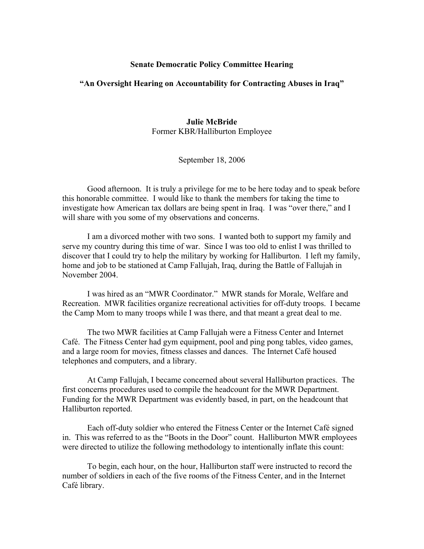## **Senate Democratic Policy Committee Hearing**

## **"An Oversight Hearing on Accountability for Contracting Abuses in Iraq"**

## **Julie McBride**  Former KBR/Halliburton Employee

September 18, 2006

Good afternoon. It is truly a privilege for me to be here today and to speak before this honorable committee. I would like to thank the members for taking the time to investigate how American tax dollars are being spent in Iraq. I was "over there," and I will share with you some of my observations and concerns.

I am a divorced mother with two sons. I wanted both to support my family and serve my country during this time of war. Since I was too old to enlist I was thrilled to discover that I could try to help the military by working for Halliburton. I left my family, home and job to be stationed at Camp Fallujah, Iraq, during the Battle of Fallujah in November 2004.

I was hired as an "MWR Coordinator." MWR stands for Morale, Welfare and Recreation. MWR facilities organize recreational activities for off-duty troops. I became the Camp Mom to many troops while I was there, and that meant a great deal to me.

The two MWR facilities at Camp Fallujah were a Fitness Center and Internet Café. The Fitness Center had gym equipment, pool and ping pong tables, video games, and a large room for movies, fitness classes and dances. The Internet Café housed telephones and computers, and a library.

At Camp Fallujah, I became concerned about several Halliburton practices. The first concerns procedures used to compile the headcount for the MWR Department. Funding for the MWR Department was evidently based, in part, on the headcount that Halliburton reported.

Each off-duty soldier who entered the Fitness Center or the Internet Café signed in. This was referred to as the "Boots in the Door" count. Halliburton MWR employees were directed to utilize the following methodology to intentionally inflate this count:

To begin, each hour, on the hour, Halliburton staff were instructed to record the number of soldiers in each of the five rooms of the Fitness Center, and in the Internet Café library.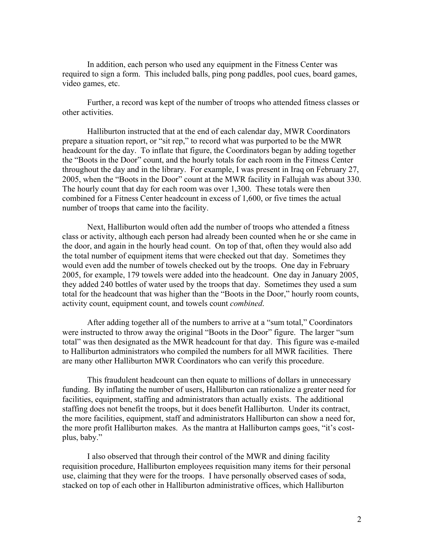In addition, each person who used any equipment in the Fitness Center was required to sign a form. This included balls, ping pong paddles, pool cues, board games, video games, etc.

Further, a record was kept of the number of troops who attended fitness classes or other activities.

Halliburton instructed that at the end of each calendar day, MWR Coordinators prepare a situation report, or "sit rep," to record what was purported to be the MWR headcount for the day. To inflate that figure, the Coordinators began by adding together the "Boots in the Door" count, and the hourly totals for each room in the Fitness Center throughout the day and in the library. For example, I was present in Iraq on February 27, 2005, when the "Boots in the Door" count at the MWR facility in Fallujah was about 330. The hourly count that day for each room was over 1,300. These totals were then combined for a Fitness Center headcount in excess of 1,600, or five times the actual number of troops that came into the facility.

Next, Halliburton would often add the number of troops who attended a fitness class or activity, although each person had already been counted when he or she came in the door, and again in the hourly head count. On top of that, often they would also add the total number of equipment items that were checked out that day. Sometimes they would even add the number of towels checked out by the troops. One day in February 2005, for example, 179 towels were added into the headcount. One day in January 2005, they added 240 bottles of water used by the troops that day. Sometimes they used a sum total for the headcount that was higher than the "Boots in the Door," hourly room counts, activity count, equipment count, and towels count *combined*.

After adding together all of the numbers to arrive at a "sum total," Coordinators were instructed to throw away the original "Boots in the Door" figure. The larger "sum total" was then designated as the MWR headcount for that day. This figure was e-mailed to Halliburton administrators who compiled the numbers for all MWR facilities. There are many other Halliburton MWR Coordinators who can verify this procedure.

This fraudulent headcount can then equate to millions of dollars in unnecessary funding. By inflating the number of users, Halliburton can rationalize a greater need for facilities, equipment, staffing and administrators than actually exists. The additional staffing does not benefit the troops, but it does benefit Halliburton. Under its contract, the more facilities, equipment, staff and administrators Halliburton can show a need for, the more profit Halliburton makes. As the mantra at Halliburton camps goes, "it's costplus, baby."

I also observed that through their control of the MWR and dining facility requisition procedure, Halliburton employees requisition many items for their personal use, claiming that they were for the troops. I have personally observed cases of soda, stacked on top of each other in Halliburton administrative offices, which Halliburton